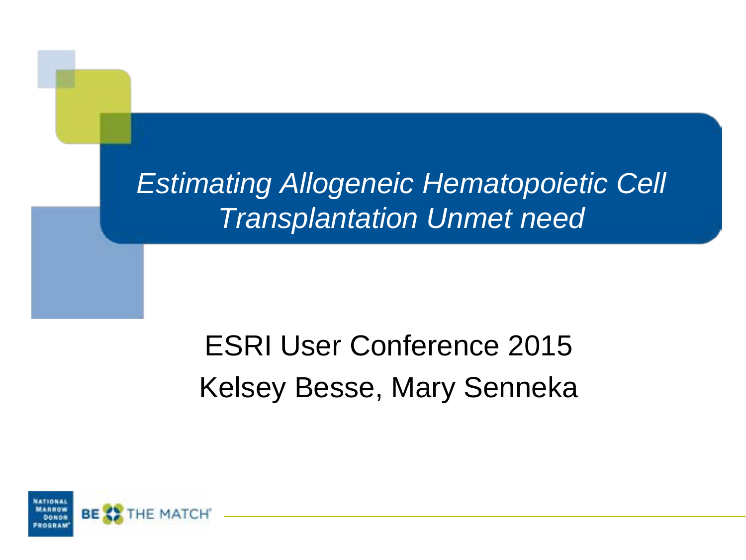*Estimating Allogeneic Hematopoietic Cell Transplantation Unmet need*

### ESRI User Conference 2015 Kelsey Besse, Mary Senneka

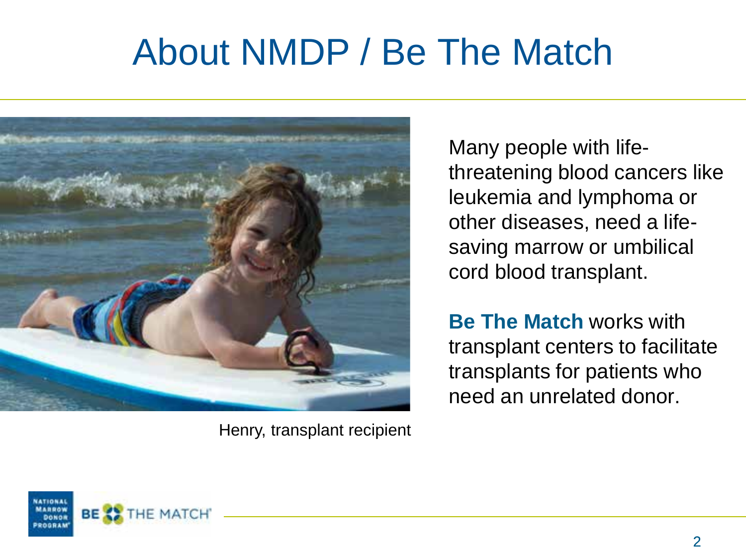# About NMDP / Be The Match



Henry, transplant recipient

Many people with lifethreatening blood cancers like leukemia and lymphoma or other diseases, need a lifesaving marrow or umbilical cord blood transplant.

**Be The Match** works with transplant centers to facilitate transplants for patients who need an unrelated donor.

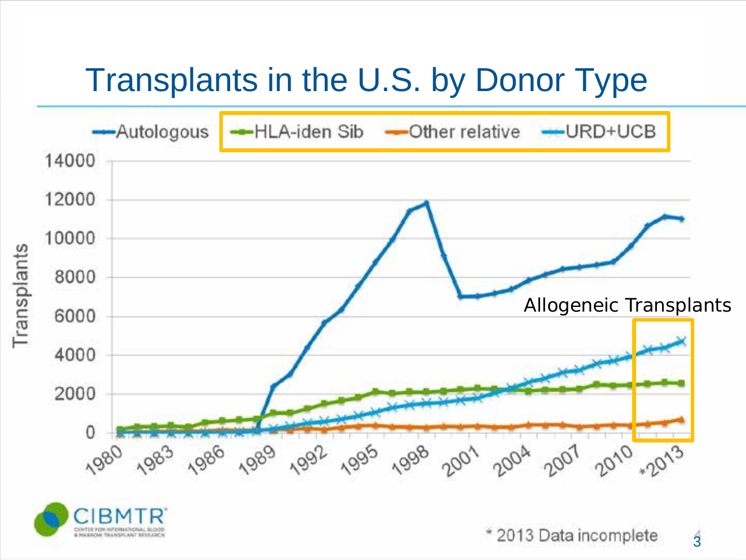## Transplants in the U.S. by Donor Type



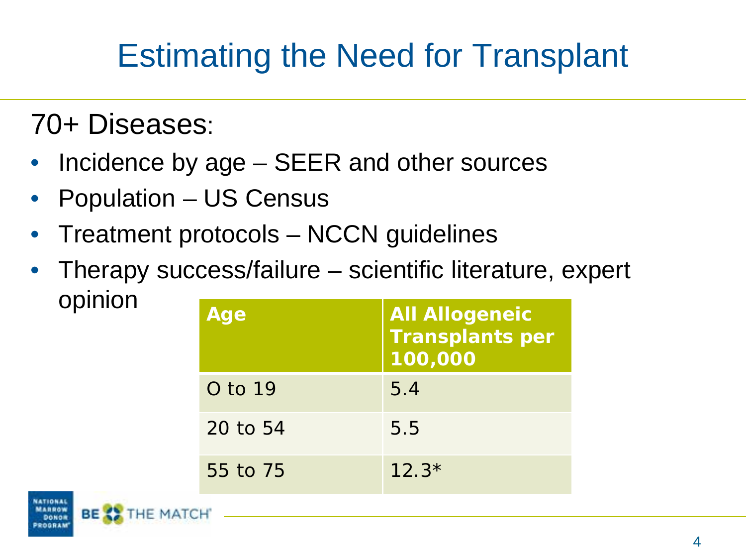## Estimating the Need for Transplant

70+ Diseases:

- Incidence by age SEER and other sources
- Population US Census
- Treatment protocols NCCN guidelines
- Therapy success/failure scientific literature, expert opinion **Age All Allogeneic**

| Age      | <b>All Allogeneic</b><br><b>Transplants per</b><br>100,000 |
|----------|------------------------------------------------------------|
| O to 19  | 5.4                                                        |
| 20 to 54 | 5.5                                                        |
| 55 to 75 | $12.3*$                                                    |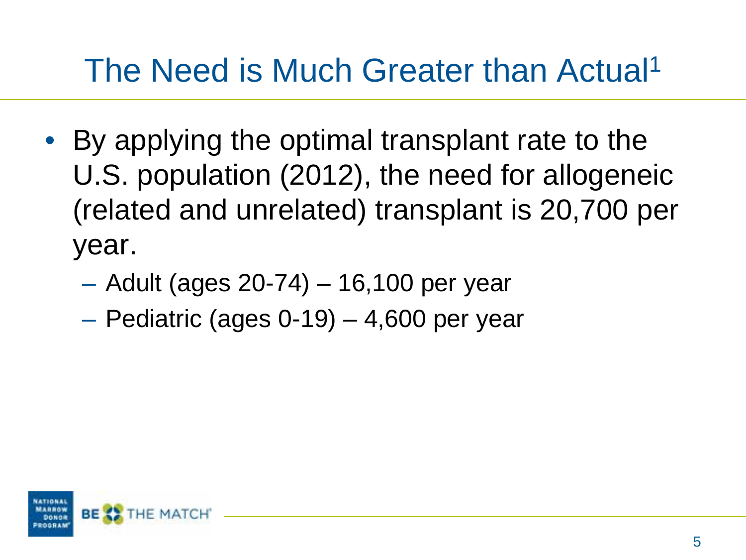## The Need is Much Greater than Actual<sup>1</sup>

- By applying the optimal transplant rate to the U.S. population (2012), the need for allogeneic (related and unrelated) transplant is 20,700 per year.
	- Adult (ages 20-74) 16,100 per year
	- Pediatric (ages 0-19) 4,600 per year

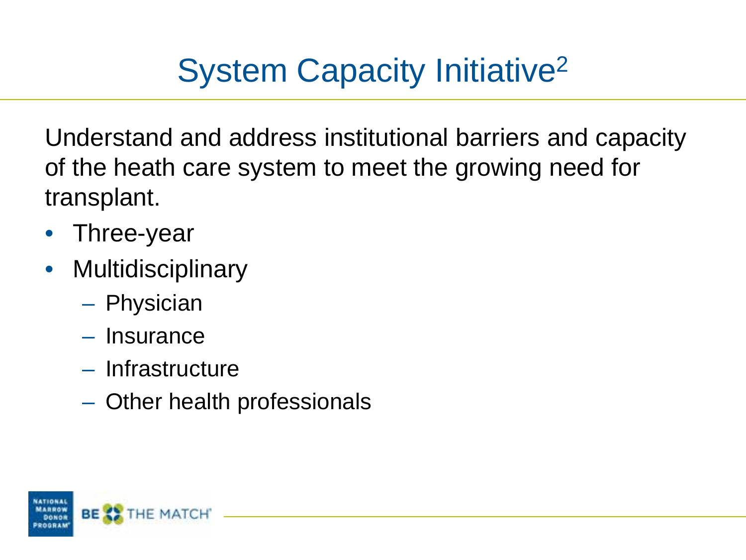# System Capacity Initiative2

Understand and address institutional barriers and capacity of the heath care system to meet the growing need for transplant.

- Three-year
- Multidisciplinary
	- Physician
	- Insurance
	- Infrastructure
	- Other health professionals

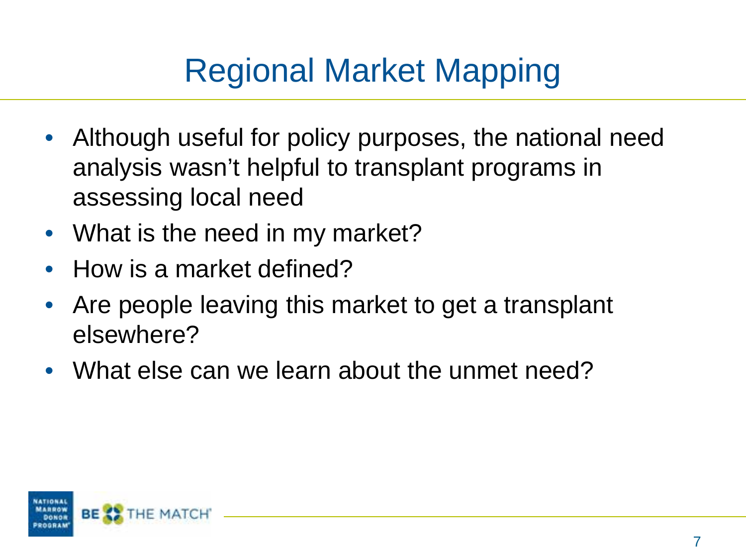# Regional Market Mapping

- Although useful for policy purposes, the national need analysis wasn't helpful to transplant programs in assessing local need
- What is the need in my market?
- How is a market defined?
- Are people leaving this market to get a transplant elsewhere?
- What else can we learn about the unmet need?

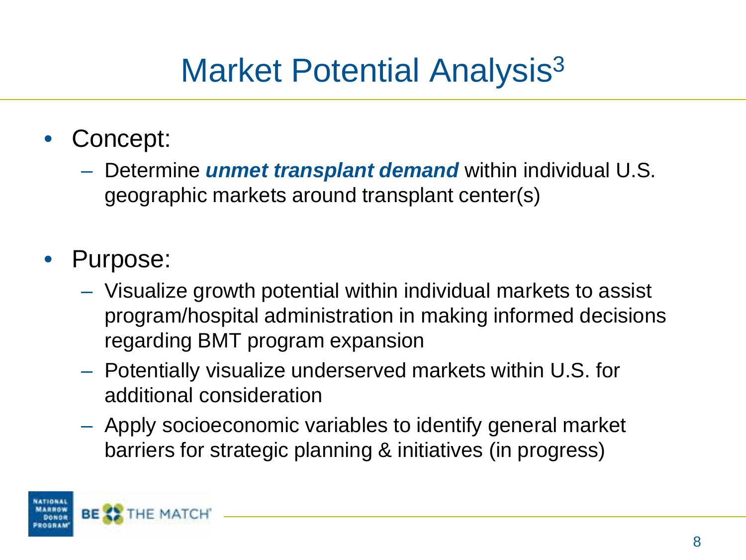## Market Potential Analysis<sup>3</sup>

- Concept:
	- Determine *unmet transplant demand* within individual U.S. geographic markets around transplant center(s)

#### Purpose:

- Visualize growth potential within individual markets to assist program/hospital administration in making informed decisions regarding BMT program expansion
- Potentially visualize underserved markets within U.S. for additional consideration
- Apply socioeconomic variables to identify general market barriers for strategic planning & initiatives (in progress)

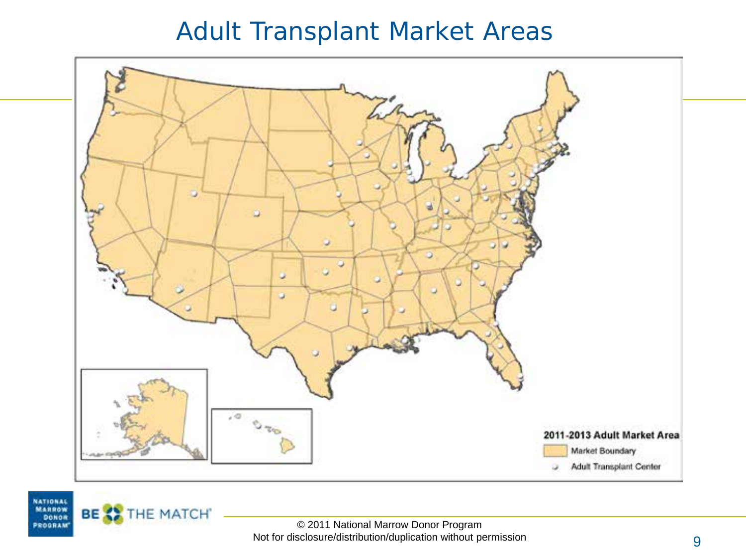#### Adult Transplant Market Areas



NATIONAL **MARROW** 

DONOR<br>PROGRAM

BE <sup>2</sup> THE MATCH'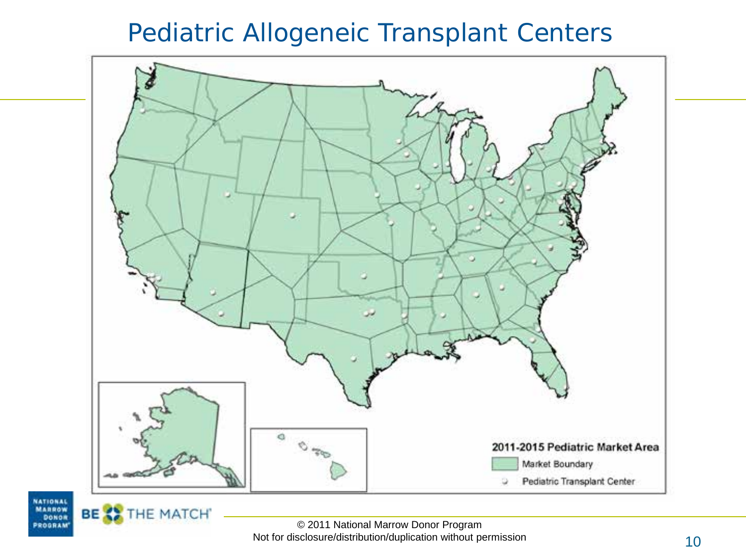#### Pediatric Allogeneic Transplant Centers





BE XX

THE MATCH

© 2011 National Marrow Donor Program Not for disclosure/distribution/duplication without permission 10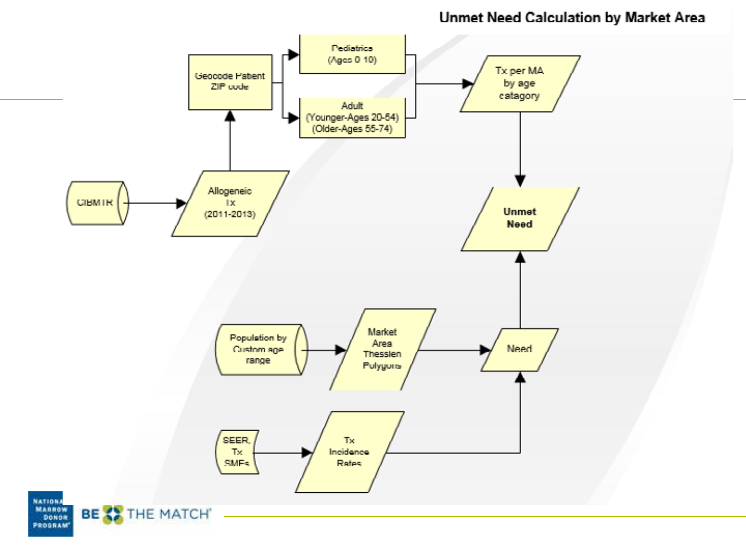Unmet Need Calculation by Market Area

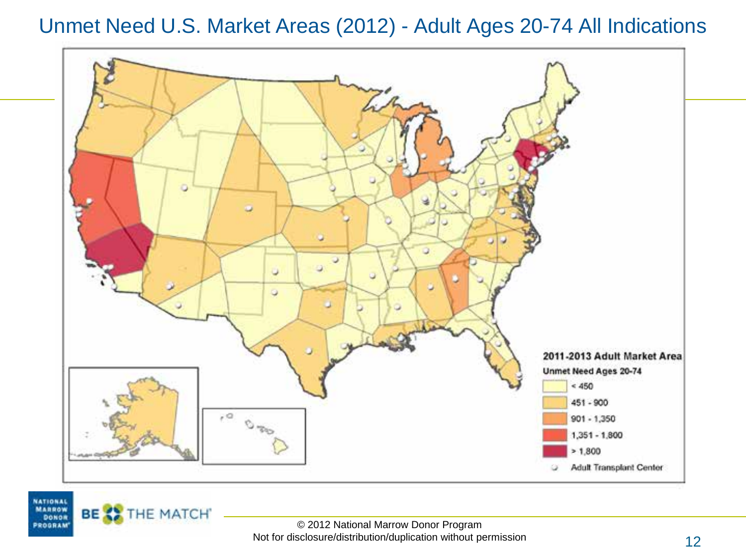Unmet Need U.S. Market Areas (2012) - Adult Ages 20-74 All Indications



**NATIONAL MARROW** 

DONDR PROGRAM

BE XX

THE MATCH'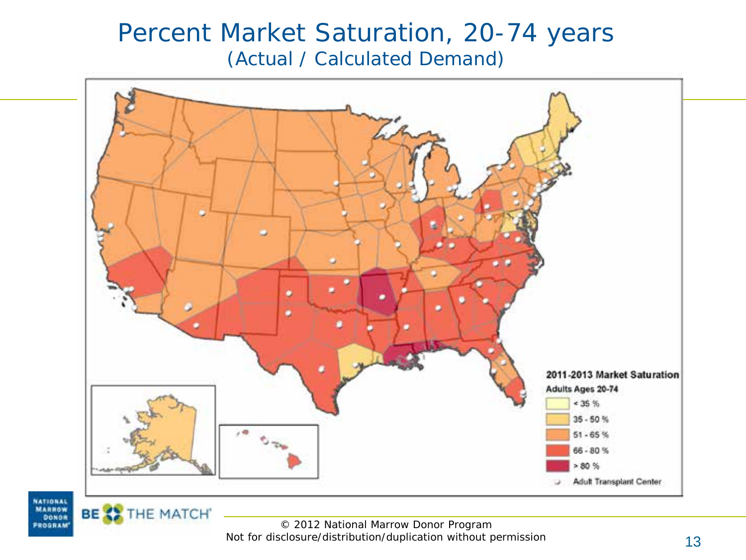#### Percent Market Saturation, 20-74 years (Actual / Calculated Demand)





BE XX

THE MATCH'

© 2012 National Marrow Donor Program Not for disclosure/distribution/duplication without permission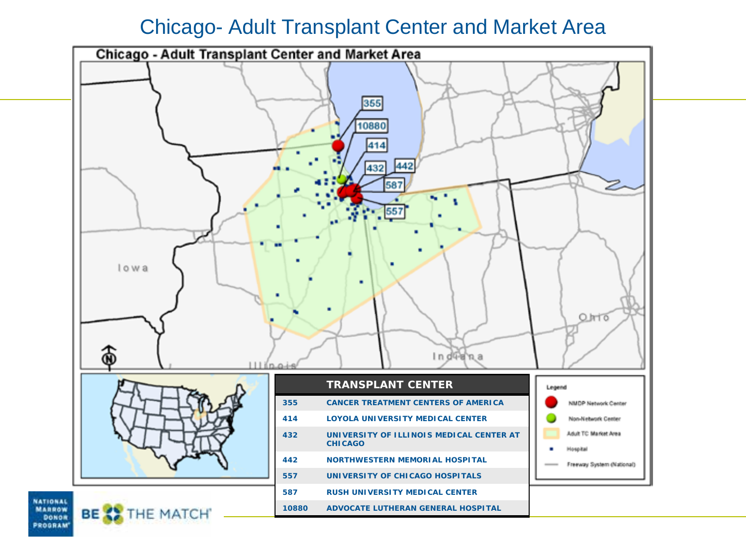#### Chicago- Adult Transplant Center and Market Area



NATIONAL **MARROW** DONDR PROGRAM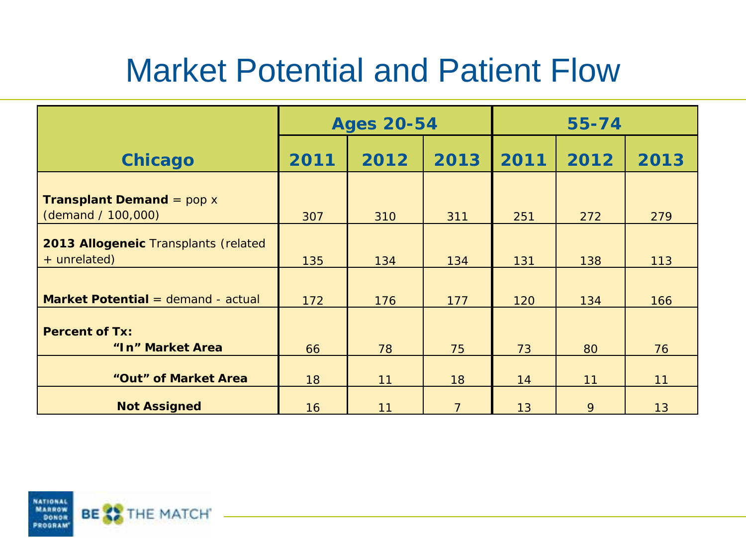## Market Potential and Patient Flow

|                                                          | <b>Ages 20-54</b> |      |                | $55 - 74$ |      |      |
|----------------------------------------------------------|-------------------|------|----------------|-----------|------|------|
| <b>Chicago</b>                                           | 2011              | 2012 | 2013           | 2011      | 2012 | 2013 |
| <b>Transplant Demand</b> = $pop x$<br>(demand / 100,000) | 307               | 310  | 311            | 251       | 272  | 279  |
| 2013 Allogeneic Transplants (related<br>+ unrelated)     | 135               | 134  | 134            | 131       | 138  | 113  |
| Market Potential = demand - actual                       | 172               | 176  | 177            | 120       | 134  | 166  |
| <b>Percent of Tx:</b><br>"In" Market Area                | 66                | 78   | 75             | 73        | 80   | 76   |
| "Out" of Market Area                                     | 18                | 11   | 18             | 14        | 11   | 11   |
| <b>Not Assigned</b>                                      | 16                | 11   | $\overline{7}$ | 13        | 9    | 13   |

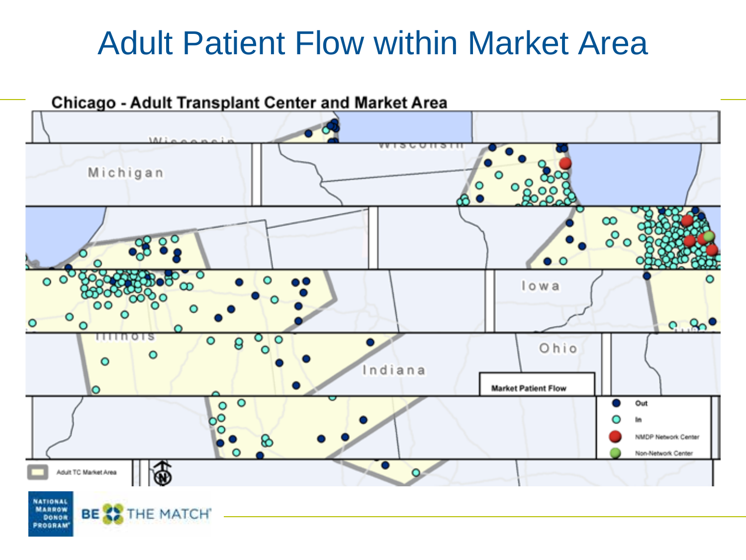#### Adult Patient Flow within Market Area

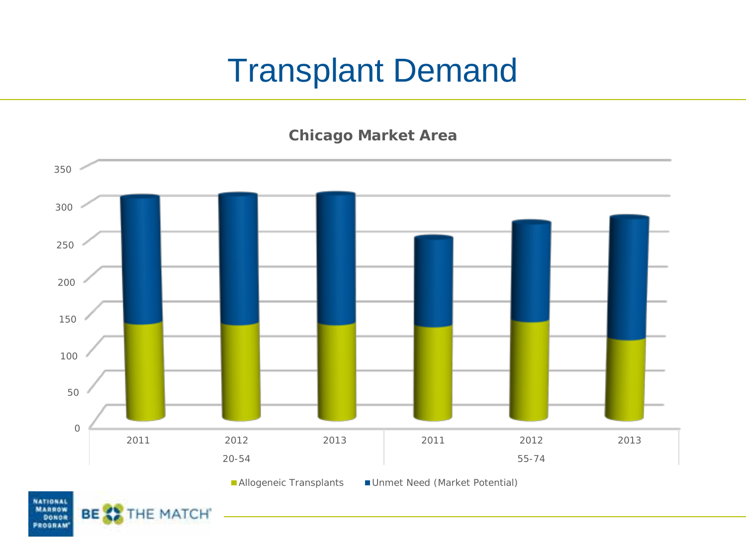### Transplant Demand

**Chicago Market Area**



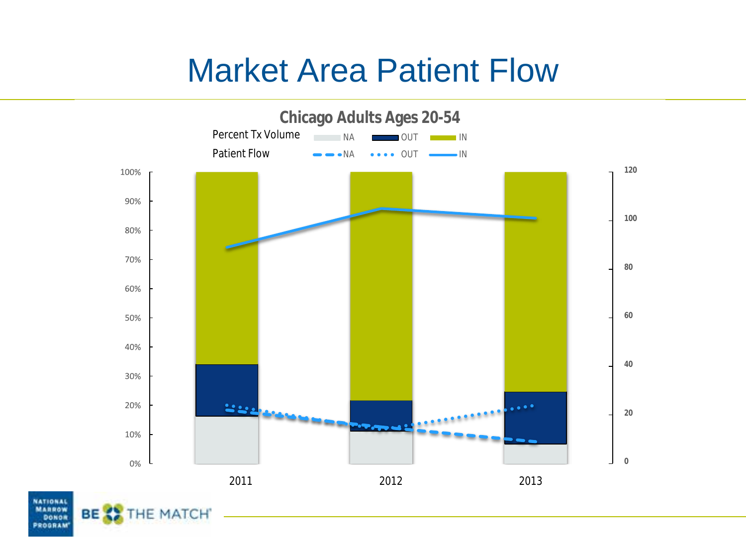#### Market Area Patient Flow



NATIONAL **MARROW** BЕ DONDR **PROGRAM**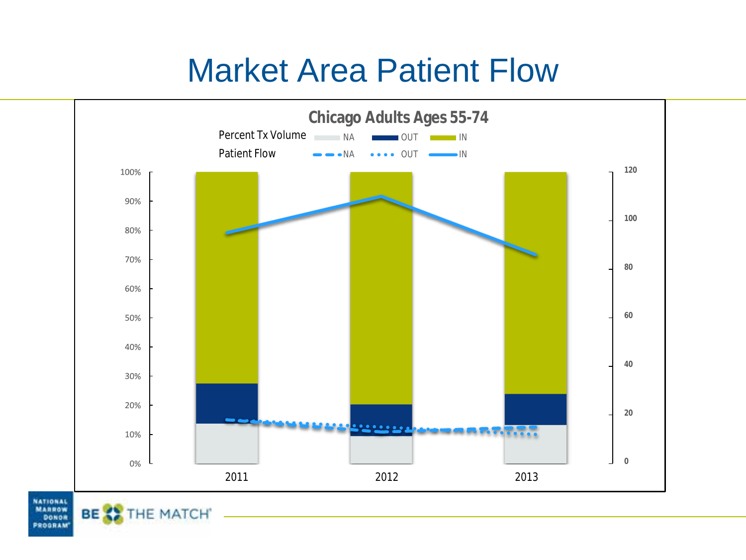#### Market Area Patient Flow



**NATIONAL MARROW** DONDR **PROGRAM** 

**BEX** 

THE MATCH'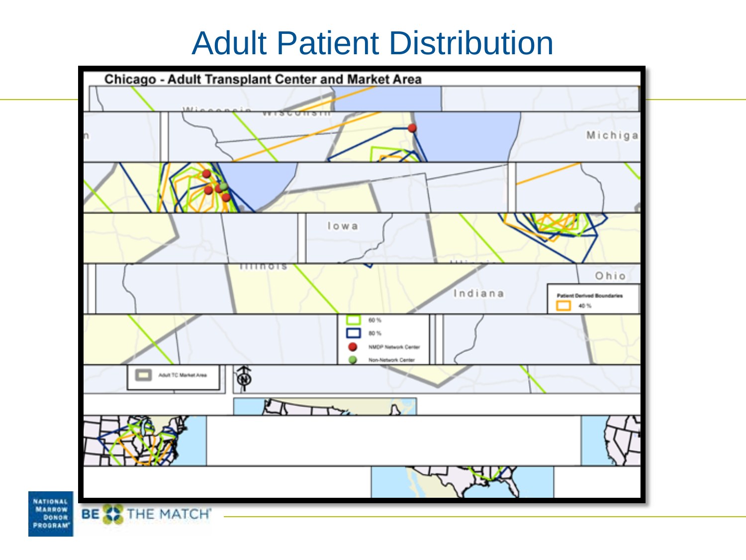### Adult Patient Distribution



**NATIONAL MARROW** DONDR PROGRAM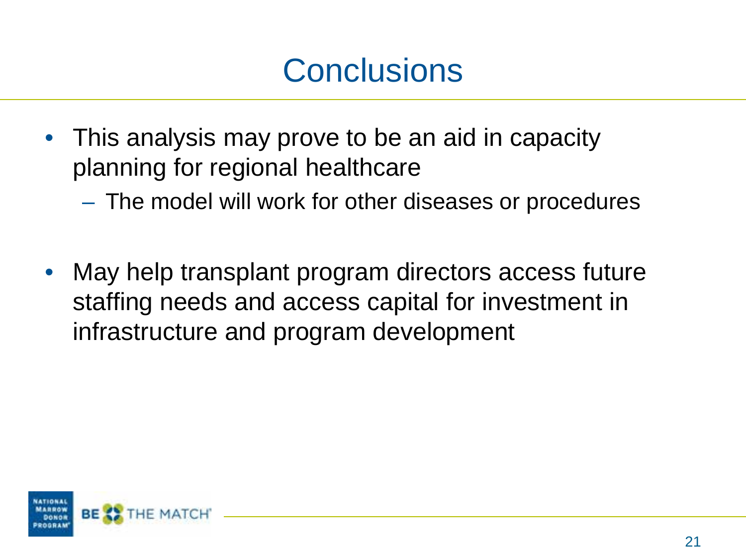### **Conclusions**

- This analysis may prove to be an aid in capacity planning for regional healthcare
	- The model will work for other diseases or procedures
- May help transplant program directors access future staffing needs and access capital for investment in infrastructure and program development

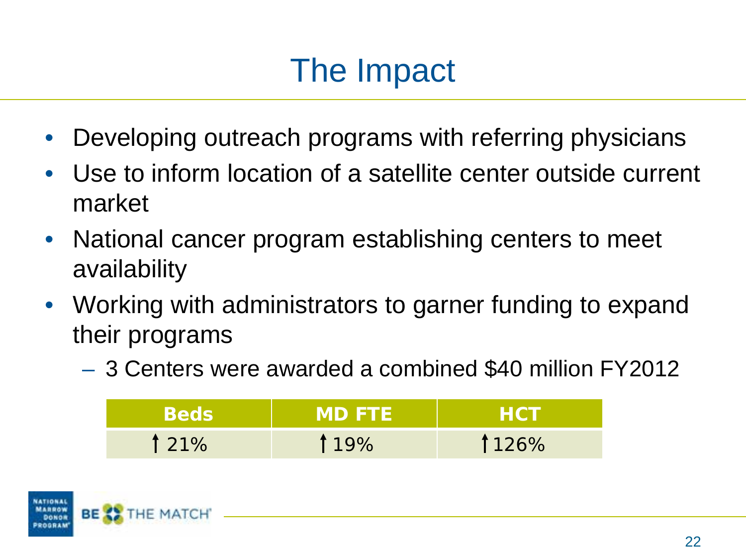## The Impact

- Developing outreach programs with referring physicians
- Use to inform location of a satellite center outside current market
- National cancer program establishing centers to meet availability
- Working with administrators to garner funding to expand their programs
	- 3 Centers were awarded a combined \$40 million FY2012

|      | <b>IMDFTE</b> | 80 H  |
|------|---------------|-------|
| 121% | 119%          | 1126% |

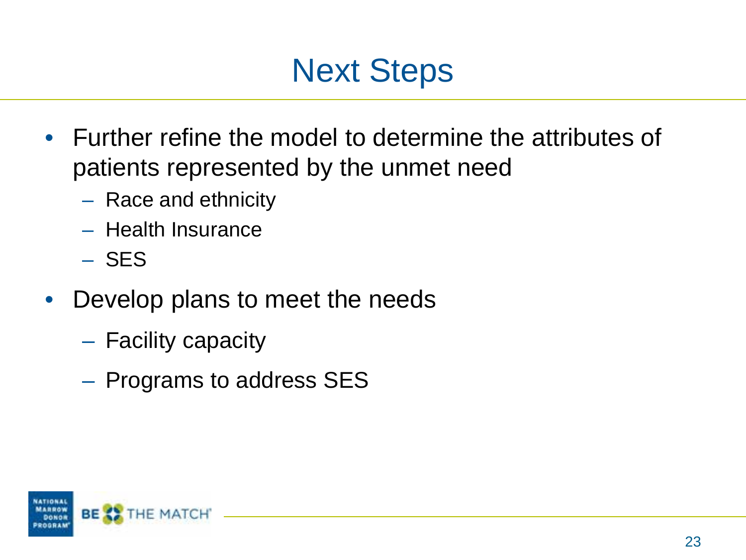

- Further refine the model to determine the attributes of patients represented by the unmet need
	- Race and ethnicity
	- Health Insurance
	- SES
- Develop plans to meet the needs
	- Facility capacity
	- Programs to address SES

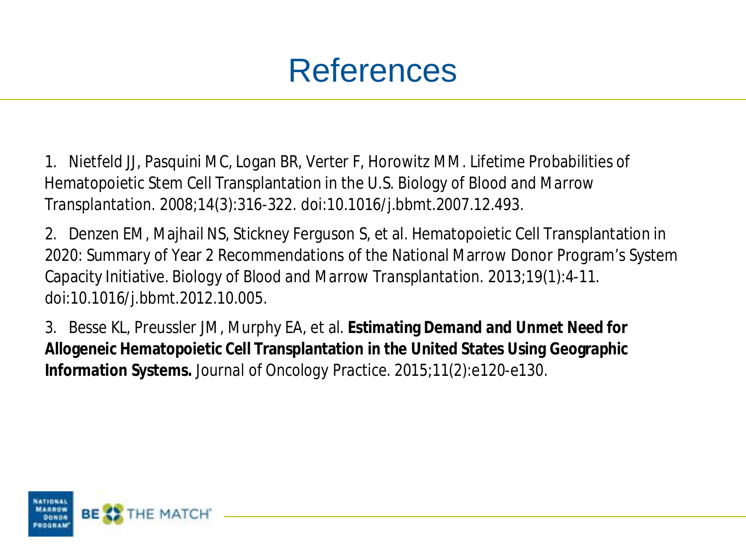#### References

1. Nietfeld JJ, Pasquini MC, Logan BR, Verter F, Horowitz MM. Lifetime Probabilities of Hematopoietic Stem Cell Transplantation in the U.S. *Biology of Blood and Marrow Transplantation*. 2008;14(3):316-322. doi:10.1016/j.bbmt.2007.12.493.

2. Denzen EM, Majhail NS, Stickney Ferguson S, et al. Hematopoietic Cell Transplantation in 2020: Summary of Year 2 Recommendations of the National Marrow Donor Program's System Capacity Initiative. *Biology of Blood and Marrow Transplantation*. 2013;19(1):4-11. doi:10.1016/j.bbmt.2012.10.005.

3. Besse KL, Preussler JM, Murphy EA, et al. **Estimating Demand and Unmet Need for Allogeneic Hematopoietic Cell Transplantation in the United States Using Geographic Information Systems.** *Journal of Oncology Practice*. 2015;11(2):e120-e130.

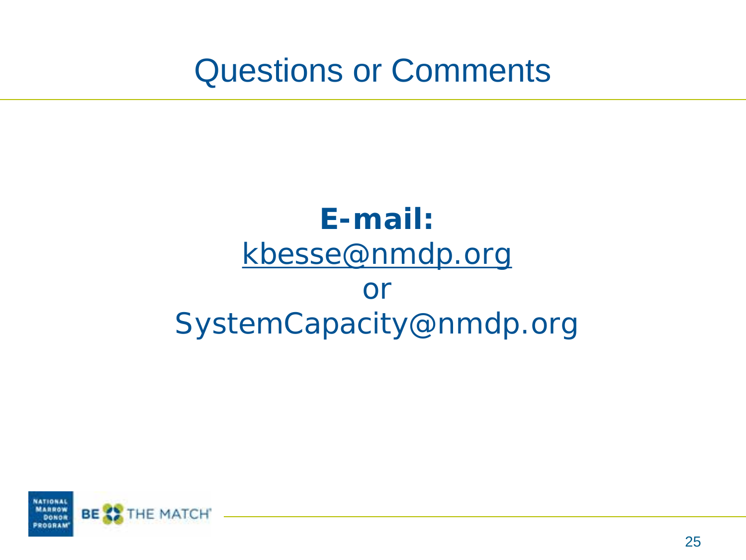Questions or Comments

#### **E-mail:** [kbesse@nmdp.org](mailto:kbesse@nmdp.org) or SystemCapacity@nmdp.org

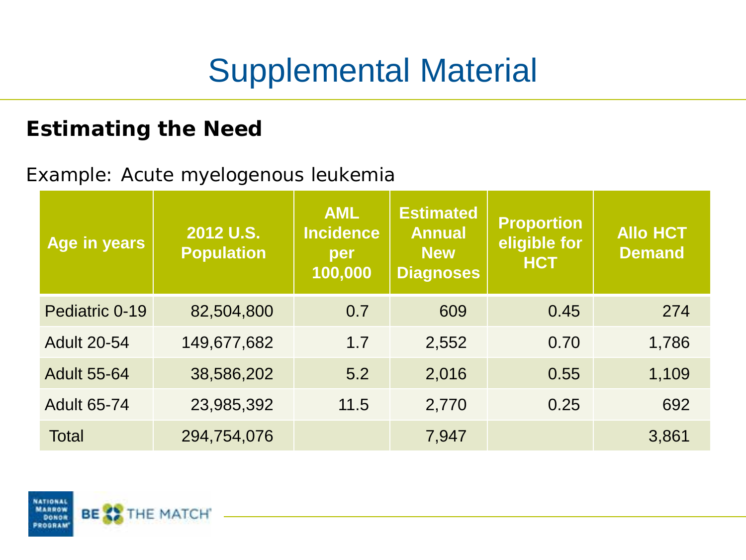## Supplemental Material

#### **Estimating the Need**

#### Example: Acute myelogenous leukemia

| Age in years       | 2012 U.S.<br><b>Population</b> | <b>AML</b><br><b>Incidence</b><br>per<br>100,000 | <b>Estimated</b><br><b>Annual</b><br><b>New</b><br><b>Diagnoses</b> | <b>Proportion</b><br>eligible for<br><b>HCT</b> | <b>Allo HCT</b><br><b>Demand</b> |
|--------------------|--------------------------------|--------------------------------------------------|---------------------------------------------------------------------|-------------------------------------------------|----------------------------------|
| Pediatric 0-19     | 82,504,800                     | 0.7                                              | 609                                                                 | 0.45                                            | 274                              |
| <b>Adult 20-54</b> | 149,677,682                    | 1.7                                              | 2,552                                                               | 0.70                                            | 1,786                            |
| <b>Adult 55-64</b> | 38,586,202                     | 5.2                                              | 2,016                                                               | 0.55                                            | 1,109                            |
| <b>Adult 65-74</b> | 23,985,392                     | 11.5                                             | 2,770                                                               | 0.25                                            | 692                              |
| <b>Total</b>       | 294,754,076                    |                                                  | 7,947                                                               |                                                 | 3,861                            |